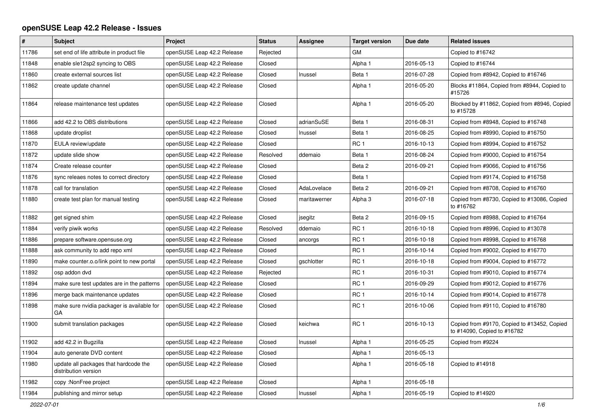## **openSUSE Leap 42.2 Release - Issues**

| #     | <b>Subject</b>                                                | <b>Project</b>             | <b>Status</b> | <b>Assignee</b> | <b>Target version</b> | Due date   | <b>Related issues</b>                                                      |
|-------|---------------------------------------------------------------|----------------------------|---------------|-----------------|-----------------------|------------|----------------------------------------------------------------------------|
| 11786 | set end of life attribute in product file                     | openSUSE Leap 42.2 Release | Rejected      |                 | <b>GM</b>             |            | Copied to #16742                                                           |
| 11848 | enable sle12sp2 syncing to OBS                                | openSUSE Leap 42.2 Release | Closed        |                 | Alpha 1               | 2016-05-13 | Copied to #16744                                                           |
| 11860 | create external sources list                                  | openSUSE Leap 42.2 Release | Closed        | Inussel         | Beta 1                | 2016-07-28 | Copied from #8942, Copied to #16746                                        |
| 11862 | create update channel                                         | openSUSE Leap 42.2 Release | Closed        |                 | Alpha 1               | 2016-05-20 | Blocks #11864, Copied from #8944, Copied to<br>#15726                      |
| 11864 | release maintenance test updates                              | openSUSE Leap 42.2 Release | Closed        |                 | Alpha 1               | 2016-05-20 | Blocked by #11862, Copied from #8946, Copied<br>to #15728                  |
| 11866 | add 42.2 to OBS distributions                                 | openSUSE Leap 42.2 Release | Closed        | adrianSuSE      | Beta 1                | 2016-08-31 | Copied from #8948, Copied to #16748                                        |
| 11868 | update droplist                                               | openSUSE Leap 42.2 Release | Closed        | Inussel         | Beta 1                | 2016-08-25 | Copied from #8990, Copied to #16750                                        |
| 11870 | EULA review/update                                            | openSUSE Leap 42.2 Release | Closed        |                 | RC <sub>1</sub>       | 2016-10-13 | Copied from #8994, Copied to #16752                                        |
| 11872 | update slide show                                             | openSUSE Leap 42.2 Release | Resolved      | ddemaio         | Beta 1                | 2016-08-24 | Copied from #9000, Copied to #16754                                        |
| 11874 | Create release counter                                        | openSUSE Leap 42.2 Release | Closed        |                 | Beta 2                | 2016-09-21 | Copied from #9066, Copied to #16756                                        |
| 11876 | sync releaes notes to correct directory                       | openSUSE Leap 42.2 Release | Closed        |                 | Beta 1                |            | Copied from #9174, Copied to #16758                                        |
| 11878 | call for translation                                          | openSUSE Leap 42.2 Release | Closed        | AdaLovelace     | Beta 2                | 2016-09-21 | Copied from #8708, Copied to #16760                                        |
| 11880 | create test plan for manual testing                           | openSUSE Leap 42.2 Release | Closed        | maritawerner    | Alpha 3               | 2016-07-18 | Copied from #8730, Copied to #13086, Copied<br>to #16762                   |
| 11882 | get signed shim                                               | openSUSE Leap 42.2 Release | Closed        | jsegitz         | Beta 2                | 2016-09-15 | Copied from #8988, Copied to #16764                                        |
| 11884 | verify piwik works                                            | openSUSE Leap 42.2 Release | Resolved      | ddemaio         | RC <sub>1</sub>       | 2016-10-18 | Copied from #8996, Copied to #13078                                        |
| 11886 | prepare software.opensuse.org                                 | openSUSE Leap 42.2 Release | Closed        | ancorgs         | RC <sub>1</sub>       | 2016-10-18 | Copied from #8998, Copied to #16768                                        |
| 11888 | ask community to add repo xml                                 | openSUSE Leap 42.2 Release | Closed        |                 | RC <sub>1</sub>       | 2016-10-14 | Copied from #9002, Copied to #16770                                        |
| 11890 | make counter.o.o/link point to new portal                     | openSUSE Leap 42.2 Release | Closed        | gschlotter      | RC <sub>1</sub>       | 2016-10-18 | Copied from #9004, Copied to #16772                                        |
| 11892 | osp addon dvd                                                 | openSUSE Leap 42.2 Release | Rejected      |                 | RC <sub>1</sub>       | 2016-10-31 | Copied from #9010, Copied to #16774                                        |
| 11894 | make sure test updates are in the patterns                    | openSUSE Leap 42.2 Release | Closed        |                 | RC <sub>1</sub>       | 2016-09-29 | Copied from #9012, Copied to #16776                                        |
| 11896 | merge back maintenance updates                                | openSUSE Leap 42.2 Release | Closed        |                 | RC <sub>1</sub>       | 2016-10-14 | Copied from #9014, Copied to #16778                                        |
| 11898 | make sure nvidia packager is available for<br>GA              | openSUSE Leap 42.2 Release | Closed        |                 | RC <sub>1</sub>       | 2016-10-06 | Copied from #9110, Copied to #16780                                        |
| 11900 | submit translation packages                                   | openSUSE Leap 42.2 Release | Closed        | keichwa         | RC <sub>1</sub>       | 2016-10-13 | Copied from #9170, Copied to #13452, Copied<br>to #14090, Copied to #16782 |
| 11902 | add 42.2 in Bugzilla                                          | openSUSE Leap 42.2 Release | Closed        | Inussel         | Alpha 1               | 2016-05-25 | Copied from #9224                                                          |
| 11904 | auto generate DVD content                                     | openSUSE Leap 42.2 Release | Closed        |                 | Alpha 1               | 2016-05-13 |                                                                            |
| 11980 | update all packages that hardcode the<br>distribution version | openSUSE Leap 42.2 Release | Closed        |                 | Alpha 1               | 2016-05-18 | Copied to #14918                                                           |
| 11982 | copy: NonFree project                                         | openSUSE Leap 42.2 Release | Closed        |                 | Alpha 1               | 2016-05-18 |                                                                            |
| 11984 | publishing and mirror setup                                   | openSUSE Leap 42.2 Release | Closed        | Inussel         | Alpha 1               | 2016-05-19 | Copied to #14920                                                           |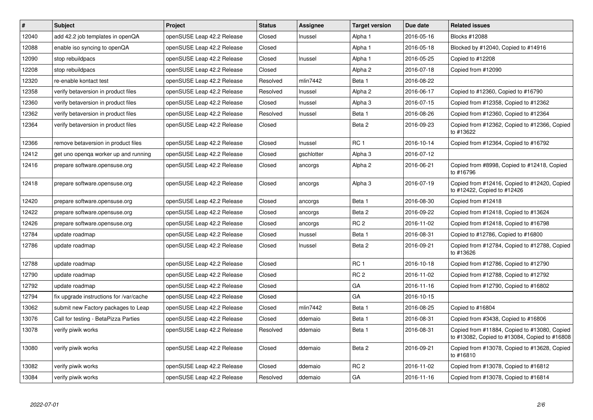| $\pmb{\#}$ | <b>Subject</b>                          | <b>Project</b>             | <b>Status</b> | <b>Assignee</b> | <b>Target version</b> | Due date   | <b>Related issues</b>                                                                         |
|------------|-----------------------------------------|----------------------------|---------------|-----------------|-----------------------|------------|-----------------------------------------------------------------------------------------------|
| 12040      | add 42.2 job templates in openQA        | openSUSE Leap 42.2 Release | Closed        | Inussel         | Alpha 1               | 2016-05-16 | <b>Blocks #12088</b>                                                                          |
| 12088      | enable iso syncing to openQA            | openSUSE Leap 42.2 Release | Closed        |                 | Alpha 1               | 2016-05-18 | Blocked by #12040, Copied to #14916                                                           |
| 12090      | stop rebuildpacs                        | openSUSE Leap 42.2 Release | Closed        | Inussel         | Alpha 1               | 2016-05-25 | Copied to #12208                                                                              |
| 12208      | stop rebuildpacs                        | openSUSE Leap 42.2 Release | Closed        |                 | Alpha <sub>2</sub>    | 2016-07-18 | Copied from #12090                                                                            |
| 12320      | re-enable kontact test                  | openSUSE Leap 42.2 Release | Resolved      | mlin7442        | Beta 1                | 2016-08-22 |                                                                                               |
| 12358      | verify betaversion in product files     | openSUSE Leap 42.2 Release | Resolved      | Inussel         | Alpha <sub>2</sub>    | 2016-06-17 | Copied to #12360, Copied to #16790                                                            |
| 12360      | verify betaversion in product files     | openSUSE Leap 42.2 Release | Closed        | Inussel         | Alpha 3               | 2016-07-15 | Copied from #12358, Copied to #12362                                                          |
| 12362      | verify betaversion in product files     | openSUSE Leap 42.2 Release | Resolved      | Inussel         | Beta 1                | 2016-08-26 | Copied from #12360, Copied to #12364                                                          |
| 12364      | verify betaversion in product files     | openSUSE Leap 42.2 Release | Closed        |                 | Beta 2                | 2016-09-23 | Copied from #12362, Copied to #12366, Copied<br>to #13622                                     |
| 12366      | remove betaversion in product files     | openSUSE Leap 42.2 Release | Closed        | Inussel         | RC <sub>1</sub>       | 2016-10-14 | Copied from #12364, Copied to #16792                                                          |
| 12412      | get uno openga worker up and running    | openSUSE Leap 42.2 Release | Closed        | gschlotter      | Alpha 3               | 2016-07-12 |                                                                                               |
| 12416      | prepare software.opensuse.org           | openSUSE Leap 42.2 Release | Closed        | ancorgs         | Alpha <sub>2</sub>    | 2016-06-21 | Copied from #8998, Copied to #12418, Copied<br>to #16796                                      |
| 12418      | prepare software.opensuse.org           | openSUSE Leap 42.2 Release | Closed        | ancorgs         | Alpha 3               | 2016-07-19 | Copied from #12416, Copied to #12420, Copied<br>to #12422, Copied to #12426                   |
| 12420      | prepare software.opensuse.org           | openSUSE Leap 42.2 Release | Closed        | ancorgs         | Beta 1                | 2016-08-30 | Copied from #12418                                                                            |
| 12422      | prepare software.opensuse.org           | openSUSE Leap 42.2 Release | Closed        | ancorgs         | Beta 2                | 2016-09-22 | Copied from #12418, Copied to #13624                                                          |
| 12426      | prepare software.opensuse.org           | openSUSE Leap 42.2 Release | Closed        | ancorgs         | RC <sub>2</sub>       | 2016-11-02 | Copied from #12418, Copied to #16798                                                          |
| 12784      | update roadmap                          | openSUSE Leap 42.2 Release | Closed        | Inussel         | Beta 1                | 2016-08-31 | Copied to #12786, Copied to #16800                                                            |
| 12786      | update roadmap                          | openSUSE Leap 42.2 Release | Closed        | Inussel         | Beta 2                | 2016-09-21 | Copied from #12784, Copied to #12788, Copied<br>to #13626                                     |
| 12788      | update roadmap                          | openSUSE Leap 42.2 Release | Closed        |                 | RC <sub>1</sub>       | 2016-10-18 | Copied from #12786, Copied to #12790                                                          |
| 12790      | update roadmap                          | openSUSE Leap 42.2 Release | Closed        |                 | RC <sub>2</sub>       | 2016-11-02 | Copied from #12788, Copied to #12792                                                          |
| 12792      | update roadmap                          | openSUSE Leap 42.2 Release | Closed        |                 | GA                    | 2016-11-16 | Copied from #12790, Copied to #16802                                                          |
| 12794      | fix upgrade instructions for /var/cache | openSUSE Leap 42.2 Release | Closed        |                 | GA                    | 2016-10-15 |                                                                                               |
| 13062      | submit new Factory packages to Leap     | openSUSE Leap 42.2 Release | Closed        | mlin7442        | Beta 1                | 2016-08-25 | Copied to #16804                                                                              |
| 13076      | Call for testing - BetaPizza Parties    | openSUSE Leap 42.2 Release | Closed        | ddemaio         | Beta 1                | 2016-08-31 | Copied from #3438, Copied to #16806                                                           |
| 13078      | verify piwik works                      | openSUSE Leap 42.2 Release | Resolved      | ddemaio         | Beta 1                | 2016-08-31 | Copied from #11884, Copied to #13080, Copied<br>to #13082, Copied to #13084, Copied to #16808 |
| 13080      | verify piwik works                      | openSUSE Leap 42.2 Release | Closed        | ddemaio         | Beta 2                | 2016-09-21 | Copied from #13078, Copied to #13628, Copied<br>to #16810                                     |
| 13082      | verify piwik works                      | openSUSE Leap 42.2 Release | Closed        | ddemaio         | RC <sub>2</sub>       | 2016-11-02 | Copied from #13078, Copied to #16812                                                          |
| 13084      | verify piwik works                      | openSUSE Leap 42.2 Release | Resolved      | ddemaio         | GA                    | 2016-11-16 | Copied from #13078, Copied to #16814                                                          |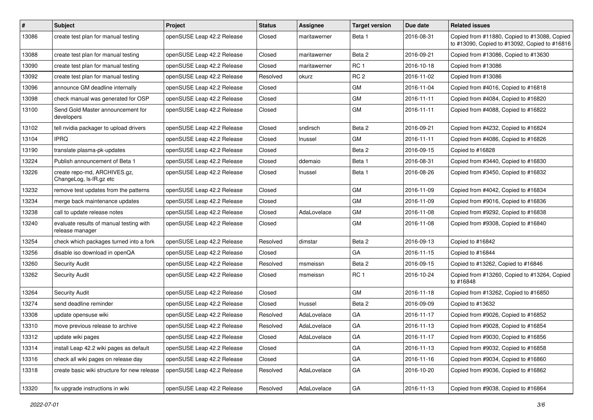| $\pmb{\#}$ | Subject                                                    | Project                    | <b>Status</b> | <b>Assignee</b> | <b>Target version</b> | Due date   | <b>Related issues</b>                                                                         |
|------------|------------------------------------------------------------|----------------------------|---------------|-----------------|-----------------------|------------|-----------------------------------------------------------------------------------------------|
| 13086      | create test plan for manual testing                        | openSUSE Leap 42.2 Release | Closed        | maritawerner    | Beta 1                | 2016-08-31 | Copied from #11880, Copied to #13088, Copied<br>to #13090, Copied to #13092, Copied to #16816 |
| 13088      | create test plan for manual testing                        | openSUSE Leap 42.2 Release | Closed        | maritawerner    | Beta 2                | 2016-09-21 | Copied from #13086, Copied to #13630                                                          |
| 13090      | create test plan for manual testing                        | openSUSE Leap 42.2 Release | Closed        | maritawerner    | RC <sub>1</sub>       | 2016-10-18 | Copied from #13086                                                                            |
| 13092      | create test plan for manual testing                        | openSUSE Leap 42.2 Release | Resolved      | okurz           | RC <sub>2</sub>       | 2016-11-02 | Copied from #13086                                                                            |
| 13096      | announce GM deadline internally                            | openSUSE Leap 42.2 Release | Closed        |                 | GM                    | 2016-11-04 | Copied from #4016, Copied to #16818                                                           |
| 13098      | check manual was generated for OSP                         | openSUSE Leap 42.2 Release | Closed        |                 | GM                    | 2016-11-11 | Copied from #4084, Copied to #16820                                                           |
| 13100      | Send Gold Master announcement for<br>developers            | openSUSE Leap 42.2 Release | Closed        |                 | GM                    | 2016-11-11 | Copied from #4088, Copied to #16822                                                           |
| 13102      | tell nvidia packager to upload drivers                     | openSUSE Leap 42.2 Release | Closed        | sndirsch        | Beta 2                | 2016-09-21 | Copied from #4232, Copied to #16824                                                           |
| 13104      | <b>IPRQ</b>                                                | openSUSE Leap 42.2 Release | Closed        | Inussel         | GM                    | 2016-11-11 | Copied from #4086, Copied to #16826                                                           |
| 13190      | translate plasma-pk-updates                                | openSUSE Leap 42.2 Release | Closed        |                 | Beta 2                | 2016-09-15 | Copied to #16828                                                                              |
| 13224      | Publish announcement of Beta 1                             | openSUSE Leap 42.2 Release | Closed        | ddemaio         | Beta 1                | 2016-08-31 | Copied from #3440, Copied to #16830                                                           |
| 13226      | create repo-md, ARCHIVES.gz,<br>ChangeLog, Is-IR.gz etc    | openSUSE Leap 42.2 Release | Closed        | Inussel         | Beta 1                | 2016-08-26 | Copied from #3450, Copied to #16832                                                           |
| 13232      | remove test updates from the patterns                      | openSUSE Leap 42.2 Release | Closed        |                 | GM                    | 2016-11-09 | Copied from #4042, Copied to #16834                                                           |
| 13234      | merge back maintenance updates                             | openSUSE Leap 42.2 Release | Closed        |                 | <b>GM</b>             | 2016-11-09 | Copied from #9016, Copied to #16836                                                           |
| 13238      | call to update release notes                               | openSUSE Leap 42.2 Release | Closed        | AdaLovelace     | GM                    | 2016-11-08 | Copied from #9292, Copied to #16838                                                           |
| 13240      | evaluate results of manual testing with<br>release manager | openSUSE Leap 42.2 Release | Closed        |                 | GM                    | 2016-11-08 | Copied from #9308, Copied to #16840                                                           |
| 13254      | check which packages turned into a fork                    | openSUSE Leap 42.2 Release | Resolved      | dimstar         | Beta 2                | 2016-09-13 | Copied to #16842                                                                              |
| 13256      | disable iso download in openQA                             | openSUSE Leap 42.2 Release | Closed        |                 | GA                    | 2016-11-15 | Copied to #16844                                                                              |
| 13260      | <b>Security Audit</b>                                      | openSUSE Leap 42.2 Release | Resolved      | msmeissn        | Beta 2                | 2016-09-15 | Copied to #13262, Copied to #16846                                                            |
| 13262      | <b>Security Audit</b>                                      | openSUSE Leap 42.2 Release | Closed        | msmeissn        | RC <sub>1</sub>       | 2016-10-24 | Copied from #13260, Copied to #13264, Copied<br>to #16848                                     |
| 13264      | <b>Security Audit</b>                                      | openSUSE Leap 42.2 Release | Closed        |                 | GM                    | 2016-11-18 | Copied from #13262, Copied to #16850                                                          |
| 13274      | send deadline reminder                                     | openSUSE Leap 42.2 Release | Closed        | Inussel         | Beta 2                | 2016-09-09 | Copied to #13632                                                                              |
| 13308      | update opensuse wiki                                       | openSUSE Leap 42.2 Release | Resolved      | AdaLovelace     | GA                    | 2016-11-17 | Copied from #9026, Copied to #16852                                                           |
| 13310      | move previous release to archive                           | openSUSE Leap 42.2 Release | Resolved      | AdaLovelace     | GA                    | 2016-11-13 | Copied from #9028, Copied to #16854                                                           |
| 13312      | update wiki pages                                          | openSUSE Leap 42.2 Release | Closed        | AdaLovelace     | GA                    | 2016-11-17 | Copied from #9030, Copied to #16856                                                           |
| 13314      | install Leap 42.2 wiki pages as default                    | openSUSE Leap 42.2 Release | Closed        |                 | GA                    | 2016-11-13 | Copied from #9032, Copied to #16858                                                           |
| 13316      | check all wiki pages on release day                        | openSUSE Leap 42.2 Release | Closed        |                 | GA                    | 2016-11-16 | Copied from #9034, Copied to #16860                                                           |
| 13318      | create basic wiki structure for new release                | openSUSE Leap 42.2 Release | Resolved      | AdaLovelace     | GA                    | 2016-10-20 | Copied from #9036, Copied to #16862                                                           |
| 13320      | fix upgrade instructions in wiki                           | openSUSE Leap 42.2 Release | Resolved      | AdaLovelace     | GA                    | 2016-11-13 | Copied from #9038, Copied to #16864                                                           |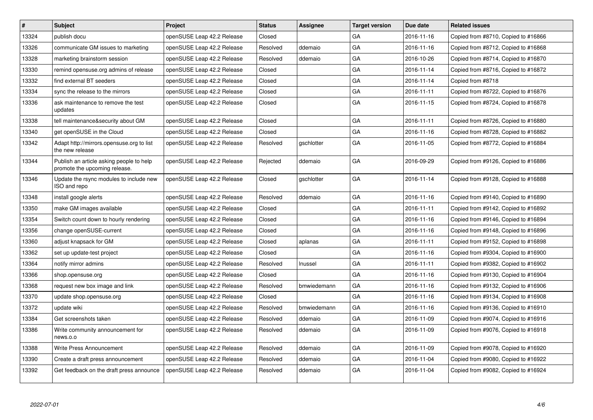| $\vert$ # | <b>Subject</b>                                                            | <b>Project</b>             | <b>Status</b> | Assignee    | <b>Target version</b> | Due date   | <b>Related issues</b>               |
|-----------|---------------------------------------------------------------------------|----------------------------|---------------|-------------|-----------------------|------------|-------------------------------------|
| 13324     | publish docu                                                              | openSUSE Leap 42.2 Release | Closed        |             | GA                    | 2016-11-16 | Copied from #8710, Copied to #16866 |
| 13326     | communicate GM issues to marketing                                        | openSUSE Leap 42.2 Release | Resolved      | ddemaio     | GA                    | 2016-11-16 | Copied from #8712, Copied to #16868 |
| 13328     | marketing brainstorm session                                              | openSUSE Leap 42.2 Release | Resolved      | ddemaio     | GA                    | 2016-10-26 | Copied from #8714, Copied to #16870 |
| 13330     | remind opensuse.org admins of release                                     | openSUSE Leap 42.2 Release | Closed        |             | GA                    | 2016-11-14 | Copied from #8716, Copied to #16872 |
| 13332     | find external BT seeders                                                  | openSUSE Leap 42.2 Release | Closed        |             | GA                    | 2016-11-14 | Copied from #8718                   |
| 13334     | sync the release to the mirrors                                           | openSUSE Leap 42.2 Release | Closed        |             | GA                    | 2016-11-11 | Copied from #8722, Copied to #16876 |
| 13336     | ask maintenance to remove the test<br>updates                             | openSUSE Leap 42.2 Release | Closed        |             | GA                    | 2016-11-15 | Copied from #8724, Copied to #16878 |
| 13338     | tell maintenance&security about GM                                        | openSUSE Leap 42.2 Release | Closed        |             | GA                    | 2016-11-11 | Copied from #8726, Copied to #16880 |
| 13340     | get openSUSE in the Cloud                                                 | openSUSE Leap 42.2 Release | Closed        |             | GA                    | 2016-11-16 | Copied from #8728, Copied to #16882 |
| 13342     | Adapt http://mirrors.opensuse.org to list<br>the new release              | openSUSE Leap 42.2 Release | Resolved      | gschlotter  | GA                    | 2016-11-05 | Copied from #8772, Copied to #16884 |
| 13344     | Publish an article asking people to help<br>promote the upcoming release. | openSUSE Leap 42.2 Release | Rejected      | ddemaio     | GA                    | 2016-09-29 | Copied from #9126, Copied to #16886 |
| 13346     | Update the rsync modules to include new<br>ISO and repo                   | openSUSE Leap 42.2 Release | Closed        | gschlotter  | GA                    | 2016-11-14 | Copied from #9128, Copied to #16888 |
| 13348     | install google alerts                                                     | openSUSE Leap 42.2 Release | Resolved      | ddemaio     | GA                    | 2016-11-16 | Copied from #9140, Copied to #16890 |
| 13350     | make GM images available                                                  | openSUSE Leap 42.2 Release | Closed        |             | GA                    | 2016-11-11 | Copied from #9142, Copied to #16892 |
| 13354     | Switch count down to hourly rendering                                     | openSUSE Leap 42.2 Release | Closed        |             | GA                    | 2016-11-16 | Copied from #9146, Copied to #16894 |
| 13356     | change openSUSE-current                                                   | openSUSE Leap 42.2 Release | Closed        |             | GА                    | 2016-11-16 | Copied from #9148, Copied to #16896 |
| 13360     | adjust knapsack for GM                                                    | openSUSE Leap 42.2 Release | Closed        | aplanas     | GA                    | 2016-11-11 | Copied from #9152, Copied to #16898 |
| 13362     | set up update-test project                                                | openSUSE Leap 42.2 Release | Closed        |             | GA                    | 2016-11-16 | Copied from #9304, Copied to #16900 |
| 13364     | notify mirror admins                                                      | openSUSE Leap 42.2 Release | Resolved      | Inussel     | GA                    | 2016-11-11 | Copied from #9382, Copied to #16902 |
| 13366     | shop.opensuse.org                                                         | openSUSE Leap 42.2 Release | Closed        |             | GA                    | 2016-11-16 | Copied from #9130, Copied to #16904 |
| 13368     | request new box image and link                                            | openSUSE Leap 42.2 Release | Resolved      | bmwiedemann | GA                    | 2016-11-16 | Copied from #9132, Copied to #16906 |
| 13370     | update shop.opensuse.org                                                  | openSUSE Leap 42.2 Release | Closed        |             | GA                    | 2016-11-16 | Copied from #9134, Copied to #16908 |
| 13372     | update wiki                                                               | openSUSE Leap 42.2 Release | Resolved      | bmwiedemann | GA                    | 2016-11-16 | Copied from #9136, Copied to #16910 |
| 13384     | Get screenshots taken                                                     | openSUSE Leap 42.2 Release | Resolved      | ddemaio     | GA                    | 2016-11-09 | Copied from #9074, Copied to #16916 |
| 13386     | Write community announcement for<br>news.o.o                              | openSUSE Leap 42.2 Release | Resolved      | ddemaio     | GA                    | 2016-11-09 | Copied from #9076, Copied to #16918 |
| 13388     | <b>Write Press Announcement</b>                                           | openSUSE Leap 42.2 Release | Resolved      | ddemaio     | GA                    | 2016-11-09 | Copied from #9078, Copied to #16920 |
| 13390     | Create a draft press announcement                                         | openSUSE Leap 42.2 Release | Resolved      | ddemaio     | GA                    | 2016-11-04 | Copied from #9080, Copied to #16922 |
| 13392     | Get feedback on the draft press announce                                  | openSUSE Leap 42.2 Release | Resolved      | ddemaio     | GA                    | 2016-11-04 | Copied from #9082, Copied to #16924 |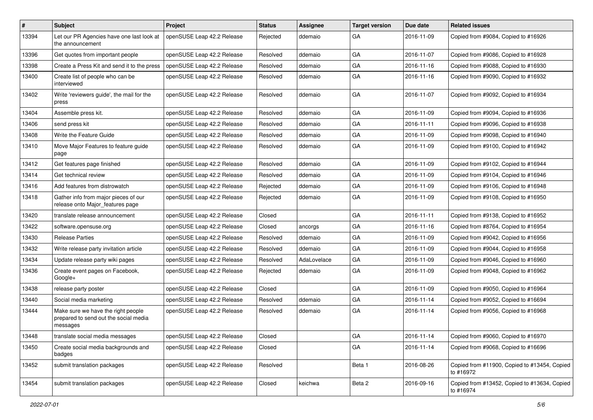| #     | Subject                                                                                 | <b>Project</b>             | <b>Status</b> | Assignee    | <b>Target version</b> | Due date   | <b>Related issues</b>                                     |
|-------|-----------------------------------------------------------------------------------------|----------------------------|---------------|-------------|-----------------------|------------|-----------------------------------------------------------|
| 13394 | Let our PR Agencies have one last look at<br>the announcement                           | openSUSE Leap 42.2 Release | Rejected      | ddemaio     | GA                    | 2016-11-09 | Copied from #9084, Copied to #16926                       |
| 13396 | Get quotes from important people                                                        | openSUSE Leap 42.2 Release | Resolved      | ddemaio     | GA                    | 2016-11-07 | Copied from #9086, Copied to #16928                       |
| 13398 | Create a Press Kit and send it to the press                                             | openSUSE Leap 42.2 Release | Resolved      | ddemaio     | GA                    | 2016-11-16 | Copied from #9088, Copied to #16930                       |
| 13400 | Create list of people who can be<br>interviewed                                         | openSUSE Leap 42.2 Release | Resolved      | ddemaio     | GA                    | 2016-11-16 | Copied from #9090, Copied to #16932                       |
| 13402 | Write 'reviewers guide', the mail for the<br>press                                      | openSUSE Leap 42.2 Release | Resolved      | ddemaio     | GA                    | 2016-11-07 | Copied from #9092, Copied to #16934                       |
| 13404 | Assemble press kit.                                                                     | openSUSE Leap 42.2 Release | Resolved      | ddemaio     | GA                    | 2016-11-09 | Copied from #9094, Copied to #16936                       |
| 13406 | send press kit                                                                          | openSUSE Leap 42.2 Release | Resolved      | ddemaio     | GA                    | 2016-11-11 | Copied from #9096, Copied to #16938                       |
| 13408 | Write the Feature Guide                                                                 | openSUSE Leap 42.2 Release | Resolved      | ddemaio     | GA                    | 2016-11-09 | Copied from #9098, Copied to #16940                       |
| 13410 | Move Major Features to feature guide<br>page                                            | openSUSE Leap 42.2 Release | Resolved      | ddemaio     | GA                    | 2016-11-09 | Copied from #9100, Copied to #16942                       |
| 13412 | Get features page finished                                                              | openSUSE Leap 42.2 Release | Resolved      | ddemaio     | GA                    | 2016-11-09 | Copied from #9102, Copied to #16944                       |
| 13414 | Get technical review                                                                    | openSUSE Leap 42.2 Release | Resolved      | ddemaio     | GA                    | 2016-11-09 | Copied from #9104, Copied to #16946                       |
| 13416 | Add features from distrowatch                                                           | openSUSE Leap 42.2 Release | Rejected      | ddemaio     | GA                    | 2016-11-09 | Copied from #9106, Copied to #16948                       |
| 13418 | Gather info from major pieces of our<br>release onto Major_features page                | openSUSE Leap 42.2 Release | Rejected      | ddemaio     | GA                    | 2016-11-09 | Copied from #9108, Copied to #16950                       |
| 13420 | translate release announcement                                                          | openSUSE Leap 42.2 Release | Closed        |             | GA                    | 2016-11-11 | Copied from #9138, Copied to #16952                       |
| 13422 | software.opensuse.org                                                                   | openSUSE Leap 42.2 Release | Closed        | ancorgs     | GA                    | 2016-11-16 | Copied from #8764, Copied to #16954                       |
| 13430 | <b>Release Parties</b>                                                                  | openSUSE Leap 42.2 Release | Resolved      | ddemaio     | GA                    | 2016-11-09 | Copied from #9042, Copied to #16956                       |
| 13432 | Write release party invitation article                                                  | openSUSE Leap 42.2 Release | Resolved      | ddemaio     | GA                    | 2016-11-09 | Copied from #9044, Copied to #16958                       |
| 13434 | Update release party wiki pages                                                         | openSUSE Leap 42.2 Release | Resolved      | AdaLovelace | GA                    | 2016-11-09 | Copied from #9046, Copied to #16960                       |
| 13436 | Create event pages on Facebook,<br>Google+                                              | openSUSE Leap 42.2 Release | Rejected      | ddemaio     | GA                    | 2016-11-09 | Copied from #9048, Copied to #16962                       |
| 13438 | release party poster                                                                    | openSUSE Leap 42.2 Release | Closed        |             | GA                    | 2016-11-09 | Copied from #9050, Copied to #16964                       |
| 13440 | Social media marketing                                                                  | openSUSE Leap 42.2 Release | Resolved      | ddemaio     | GA                    | 2016-11-14 | Copied from #9052, Copied to #16694                       |
| 13444 | Make sure we have the right people<br>prepared to send out the social media<br>messages | openSUSE Leap 42.2 Release | Resolved      | ddemaio     | GA                    | 2016-11-14 | Copied from #9056, Copied to #16968                       |
| 13448 | translate social media messages                                                         | openSUSE Leap 42.2 Release | Closed        |             | GA                    | 2016-11-14 | Copied from #9060, Copied to #16970                       |
| 13450 | Create social media backgrounds and<br>badges                                           | openSUSE Leap 42.2 Release | Closed        |             | GA                    | 2016-11-14 | Copied from #9068, Copied to #16696                       |
| 13452 | submit translation packages                                                             | openSUSE Leap 42.2 Release | Resolved      |             | Beta 1                | 2016-08-26 | Copied from #11900, Copied to #13454, Copied<br>to #16972 |
| 13454 | submit translation packages                                                             | openSUSE Leap 42.2 Release | Closed        | keichwa     | Beta 2                | 2016-09-16 | Copied from #13452, Copied to #13634, Copied<br>to #16974 |